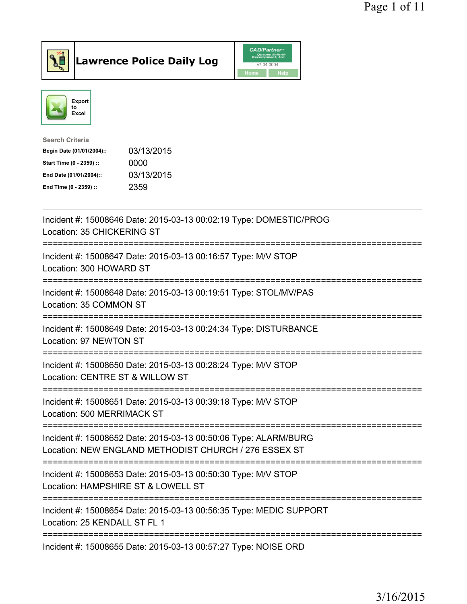

Lawrence Police Daily Log CAD/Partner



| <b>Search Criteria</b>    |            |
|---------------------------|------------|
| Begin Date (01/01/2004):: | 03/13/2015 |
| Start Time (0 - 2359) ::  | 0000       |
| End Date (01/01/2004)::   | 03/13/2015 |
| End Time (0 - 2359) ::    | 2359       |
|                           |            |

| Incident #: 15008646 Date: 2015-03-13 00:02:19 Type: DOMESTIC/PROG<br>Location: 35 CHICKERING ST<br>============================<br>:=====================<br>================= |
|---------------------------------------------------------------------------------------------------------------------------------------------------------------------------------|
| Incident #: 15008647 Date: 2015-03-13 00:16:57 Type: M/V STOP<br>Location: 300 HOWARD ST                                                                                        |
| Incident #: 15008648 Date: 2015-03-13 00:19:51 Type: STOL/MV/PAS<br>Location: 35 COMMON ST                                                                                      |
| Incident #: 15008649 Date: 2015-03-13 00:24:34 Type: DISTURBANCE<br>Location: 97 NEWTON ST                                                                                      |
| Incident #: 15008650 Date: 2015-03-13 00:28:24 Type: M/V STOP<br>Location: CENTRE ST & WILLOW ST<br>--------------------------                                                  |
| Incident #: 15008651 Date: 2015-03-13 00:39:18 Type: M/V STOP<br>Location: 500 MERRIMACK ST                                                                                     |
| Incident #: 15008652 Date: 2015-03-13 00:50:06 Type: ALARM/BURG<br>Location: NEW ENGLAND METHODIST CHURCH / 276 ESSEX ST<br>----------------------------------                  |
| Incident #: 15008653 Date: 2015-03-13 00:50:30 Type: M/V STOP<br>Location: HAMPSHIRE ST & LOWELL ST                                                                             |
| =============================<br>-------------------<br>Incident #: 15008654 Date: 2015-03-13 00:56:35 Type: MEDIC SUPPORT<br>Location: 25 KENDALL ST FL 1                      |
| Incident #: 15008655 Date: 2015-03-13 00:57:27 Type: NOISE ORD                                                                                                                  |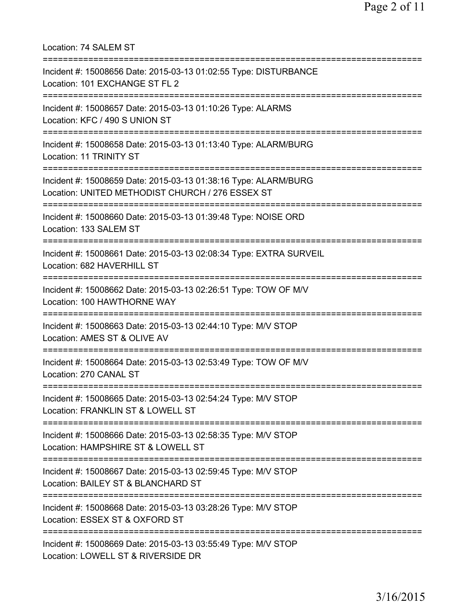Location: 74 SALEM ST =========================================================================== Incident #: 15008656 Date: 2015-03-13 01:02:55 Type: DISTURBANCE Location: 101 EXCHANGE ST FL 2 =========================================================================== Incident #: 15008657 Date: 2015-03-13 01:10:26 Type: ALARMS Location: KFC / 490 S UNION ST =========================================================================== Incident #: 15008658 Date: 2015-03-13 01:13:40 Type: ALARM/BURG Location: 11 TRINITY ST =========================================================================== Incident #: 15008659 Date: 2015-03-13 01:38:16 Type: ALARM/BURG Location: UNITED METHODIST CHURCH / 276 ESSEX ST =========================================================================== Incident #: 15008660 Date: 2015-03-13 01:39:48 Type: NOISE ORD Location: 133 SALEM ST =========================================================================== Incident #: 15008661 Date: 2015-03-13 02:08:34 Type: EXTRA SURVEIL Location: 682 HAVERHILL ST =========================================================================== Incident #: 15008662 Date: 2015-03-13 02:26:51 Type: TOW OF M/V Location: 100 HAWTHORNE WAY =========================================================================== Incident #: 15008663 Date: 2015-03-13 02:44:10 Type: M/V STOP Location: AMES ST & OLIVE AV =========================================================================== Incident #: 15008664 Date: 2015-03-13 02:53:49 Type: TOW OF M/V Location: 270 CANAL ST =========================================================================== Incident #: 15008665 Date: 2015-03-13 02:54:24 Type: M/V STOP Location: FRANKLIN ST & LOWELL ST =========================================================================== Incident #: 15008666 Date: 2015-03-13 02:58:35 Type: M/V STOP Location: HAMPSHIRE ST & LOWELL ST =========================================================================== Incident #: 15008667 Date: 2015-03-13 02:59:45 Type: M/V STOP Location: BAILEY ST & BLANCHARD ST =========================================================================== Incident #: 15008668 Date: 2015-03-13 03:28:26 Type: M/V STOP Location: ESSEX ST & OXFORD ST =========================================================================== Incident #: 15008669 Date: 2015-03-13 03:55:49 Type: M/V STOP Location: LOWELL ST & RIVERSIDE DR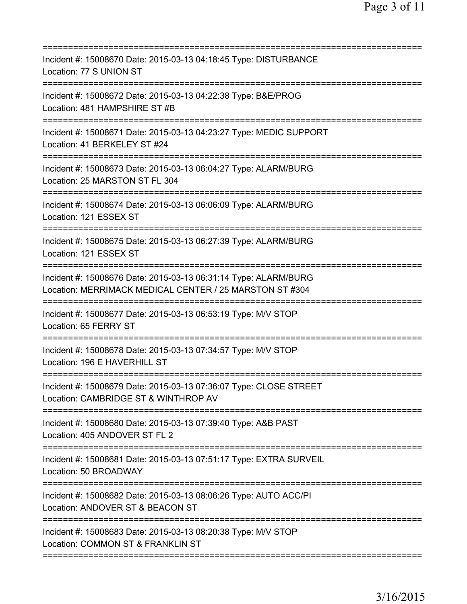| Incident #: 15008670 Date: 2015-03-13 04:18:45 Type: DISTURBANCE<br>Location: 77 S UNION ST                                            |
|----------------------------------------------------------------------------------------------------------------------------------------|
| Incident #: 15008672 Date: 2015-03-13 04:22:38 Type: B&E/PROG<br>Location: 481 HAMPSHIRE ST #B                                         |
| Incident #: 15008671 Date: 2015-03-13 04:23:27 Type: MEDIC SUPPORT<br>Location: 41 BERKELEY ST #24                                     |
| Incident #: 15008673 Date: 2015-03-13 06:04:27 Type: ALARM/BURG<br>Location: 25 MARSTON ST FL 304                                      |
| Incident #: 15008674 Date: 2015-03-13 06:06:09 Type: ALARM/BURG<br>Location: 121 ESSEX ST                                              |
| Incident #: 15008675 Date: 2015-03-13 06:27:39 Type: ALARM/BURG<br>Location: 121 ESSEX ST                                              |
| Incident #: 15008676 Date: 2015-03-13 06:31:14 Type: ALARM/BURG<br>Location: MERRIMACK MEDICAL CENTER / 25 MARSTON ST #304             |
| Incident #: 15008677 Date: 2015-03-13 06:53:19 Type: M/V STOP<br>Location: 65 FERRY ST<br>======================================       |
| Incident #: 15008678 Date: 2015-03-13 07:34:57 Type: M/V STOP<br>Location: 196 E HAVERHILL ST                                          |
| Incident #: 15008679 Date: 2015-03-13 07:36:07 Type: CLOSE STREET<br>Location: CAMBRIDGE ST & WINTHROP AV                              |
| Incident #: 15008680 Date: 2015-03-13 07:39:40 Type: A&B PAST<br>Location: 405 ANDOVER ST FL 2                                         |
| Incident #: 15008681 Date: 2015-03-13 07:51:17 Type: EXTRA SURVEIL<br>Location: 50 BROADWAY                                            |
| Incident #: 15008682 Date: 2015-03-13 08:06:26 Type: AUTO ACC/PI<br>Location: ANDOVER ST & BEACON ST<br>============================== |
| Incident #: 15008683 Date: 2015-03-13 08:20:38 Type: M/V STOP<br>Location: COMMON ST & FRANKLIN ST                                     |
|                                                                                                                                        |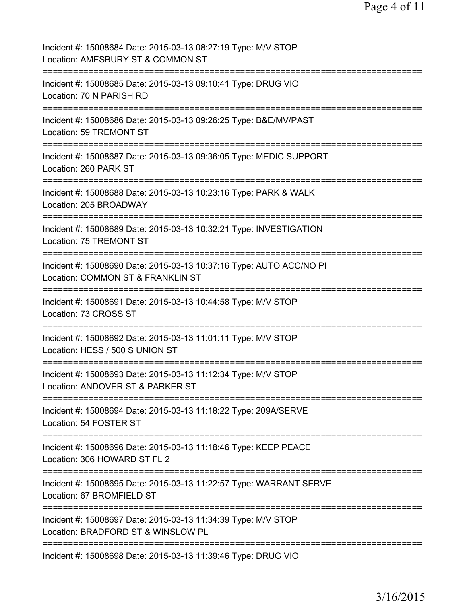| Incident #: 15008684 Date: 2015-03-13 08:27:19 Type: M/V STOP<br>Location: AMESBURY ST & COMMON ST        |
|-----------------------------------------------------------------------------------------------------------|
| Incident #: 15008685 Date: 2015-03-13 09:10:41 Type: DRUG VIO<br>Location: 70 N PARISH RD                 |
| Incident #: 15008686 Date: 2015-03-13 09:26:25 Type: B&E/MV/PAST<br>Location: 59 TREMONT ST               |
| Incident #: 15008687 Date: 2015-03-13 09:36:05 Type: MEDIC SUPPORT<br>Location: 260 PARK ST               |
| Incident #: 15008688 Date: 2015-03-13 10:23:16 Type: PARK & WALK<br>Location: 205 BROADWAY                |
| Incident #: 15008689 Date: 2015-03-13 10:32:21 Type: INVESTIGATION<br>Location: 75 TREMONT ST             |
| Incident #: 15008690 Date: 2015-03-13 10:37:16 Type: AUTO ACC/NO PI<br>Location: COMMON ST & FRANKLIN ST  |
| Incident #: 15008691 Date: 2015-03-13 10:44:58 Type: M/V STOP<br>Location: 73 CROSS ST<br>=============== |
| Incident #: 15008692 Date: 2015-03-13 11:01:11 Type: M/V STOP<br>Location: HESS / 500 S UNION ST          |
| Incident #: 15008693 Date: 2015-03-13 11:12:34 Type: M/V STOP<br>Location: ANDOVER ST & PARKER ST         |
| Incident #: 15008694 Date: 2015-03-13 11:18:22 Type: 209A/SERVE<br>Location: 54 FOSTER ST                 |
| Incident #: 15008696 Date: 2015-03-13 11:18:46 Type: KEEP PEACE<br>Location: 306 HOWARD ST FL 2           |
| Incident #: 15008695 Date: 2015-03-13 11:22:57 Type: WARRANT SERVE<br>Location: 67 BROMFIELD ST           |
| Incident #: 15008697 Date: 2015-03-13 11:34:39 Type: M/V STOP<br>Location: BRADFORD ST & WINSLOW PL       |
| Incident #: 15008698 Date: 2015-03-13 11:39:46 Type: DRUG VIO                                             |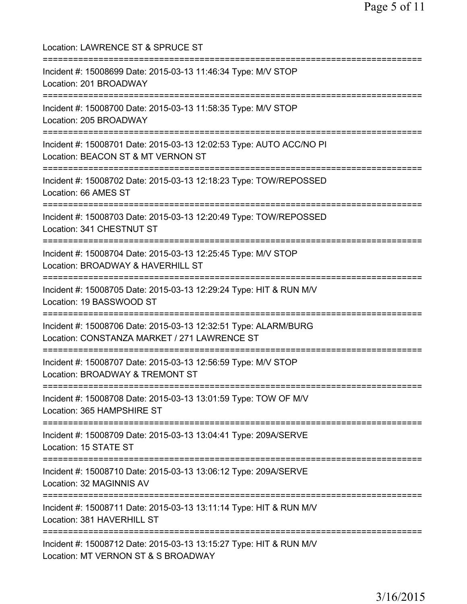| Location: LAWRENCE ST & SPRUCE ST<br>==============================                                                                    |
|----------------------------------------------------------------------------------------------------------------------------------------|
| Incident #: 15008699 Date: 2015-03-13 11:46:34 Type: M/V STOP<br>Location: 201 BROADWAY<br>=================================           |
| Incident #: 15008700 Date: 2015-03-13 11:58:35 Type: M/V STOP<br>Location: 205 BROADWAY                                                |
| Incident #: 15008701 Date: 2015-03-13 12:02:53 Type: AUTO ACC/NO PI<br>Location: BEACON ST & MT VERNON ST                              |
| ======================<br>Incident #: 15008702 Date: 2015-03-13 12:18:23 Type: TOW/REPOSSED<br>Location: 66 AMES ST                    |
| Incident #: 15008703 Date: 2015-03-13 12:20:49 Type: TOW/REPOSSED<br>Location: 341 CHESTNUT ST                                         |
| Incident #: 15008704 Date: 2015-03-13 12:25:45 Type: M/V STOP<br>Location: BROADWAY & HAVERHILL ST                                     |
| Incident #: 15008705 Date: 2015-03-13 12:29:24 Type: HIT & RUN M/V<br>Location: 19 BASSWOOD ST                                         |
| Incident #: 15008706 Date: 2015-03-13 12:32:51 Type: ALARM/BURG<br>Location: CONSTANZA MARKET / 271 LAWRENCE ST                        |
| Incident #: 15008707 Date: 2015-03-13 12:56:59 Type: M/V STOP<br>Location: BROADWAY & TREMONT ST                                       |
| =====================================<br>Incident #: 15008708 Date: 2015-03-13 13:01:59 Type: TOW OF M/V<br>Location: 365 HAMPSHIRE ST |
| ;===================================<br>Incident #: 15008709 Date: 2015-03-13 13:04:41 Type: 209A/SERVE<br>Location: 15 STATE ST       |
| Incident #: 15008710 Date: 2015-03-13 13:06:12 Type: 209A/SERVE<br>Location: 32 MAGINNIS AV                                            |
| Incident #: 15008711 Date: 2015-03-13 13:11:14 Type: HIT & RUN M/V<br>Location: 381 HAVERHILL ST                                       |
| Incident #: 15008712 Date: 2015-03-13 13:15:27 Type: HIT & RUN M/V<br>Location: MT VERNON ST & S BROADWAY                              |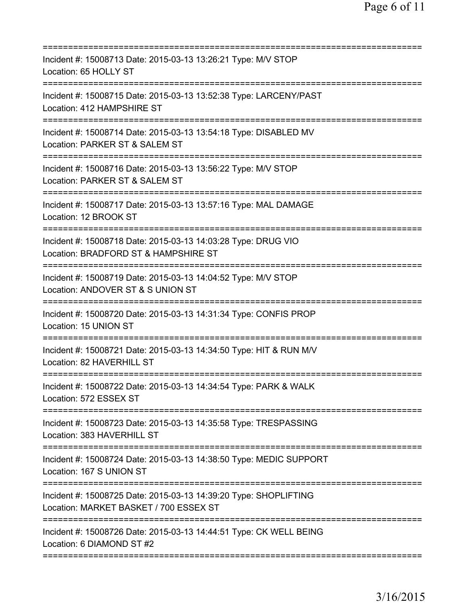| Incident #: 15008713 Date: 2015-03-13 13:26:21 Type: M/V STOP<br>Location: 65 HOLLY ST                                                                                            |
|-----------------------------------------------------------------------------------------------------------------------------------------------------------------------------------|
| Incident #: 15008715 Date: 2015-03-13 13:52:38 Type: LARCENY/PAST<br>Location: 412 HAMPSHIRE ST                                                                                   |
| Incident #: 15008714 Date: 2015-03-13 13:54:18 Type: DISABLED MV<br>Location: PARKER ST & SALEM ST                                                                                |
| Incident #: 15008716 Date: 2015-03-13 13:56:22 Type: M/V STOP<br>Location: PARKER ST & SALEM ST                                                                                   |
| Incident #: 15008717 Date: 2015-03-13 13:57:16 Type: MAL DAMAGE<br>Location: 12 BROOK ST                                                                                          |
| =====================================<br>Incident #: 15008718 Date: 2015-03-13 14:03:28 Type: DRUG VIO<br>Location: BRADFORD ST & HAMPSHIRE ST<br>=============================== |
| Incident #: 15008719 Date: 2015-03-13 14:04:52 Type: M/V STOP<br>Location: ANDOVER ST & S UNION ST<br>;==========================                                                 |
| Incident #: 15008720 Date: 2015-03-13 14:31:34 Type: CONFIS PROP<br>Location: 15 UNION ST                                                                                         |
| Incident #: 15008721 Date: 2015-03-13 14:34:50 Type: HIT & RUN M/V<br>Location: 82 HAVERHILL ST                                                                                   |
| Incident #: 15008722 Date: 2015-03-13 14:34:54 Type: PARK & WALK<br>Location: 572 ESSEX ST                                                                                        |
| Incident #: 15008723 Date: 2015-03-13 14:35:58 Type: TRESPASSING<br>Location: 383 HAVERHILL ST                                                                                    |
| Incident #: 15008724 Date: 2015-03-13 14:38:50 Type: MEDIC SUPPORT<br>Location: 167 S UNION ST                                                                                    |
| Incident #: 15008725 Date: 2015-03-13 14:39:20 Type: SHOPLIFTING<br>Location: MARKET BASKET / 700 ESSEX ST                                                                        |
| Incident #: 15008726 Date: 2015-03-13 14:44:51 Type: CK WELL BEING<br>Location: 6 DIAMOND ST #2                                                                                   |
|                                                                                                                                                                                   |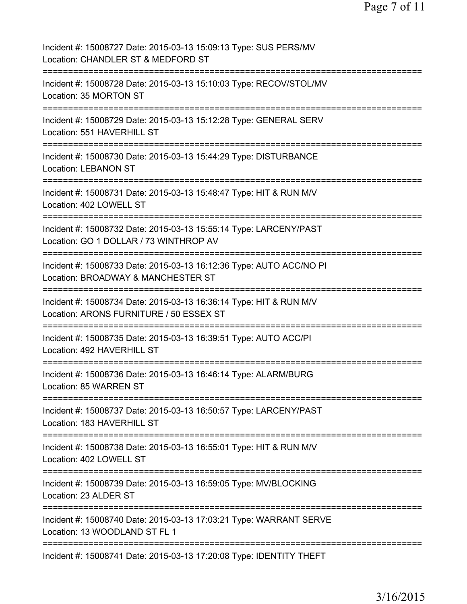| Incident #: 15008727 Date: 2015-03-13 15:09:13 Type: SUS PERS/MV<br>Location: CHANDLER ST & MEDFORD ST        |
|---------------------------------------------------------------------------------------------------------------|
| Incident #: 15008728 Date: 2015-03-13 15:10:03 Type: RECOV/STOL/MV<br>Location: 35 MORTON ST                  |
| Incident #: 15008729 Date: 2015-03-13 15:12:28 Type: GENERAL SERV<br>Location: 551 HAVERHILL ST               |
| Incident #: 15008730 Date: 2015-03-13 15:44:29 Type: DISTURBANCE<br><b>Location: LEBANON ST</b>               |
| Incident #: 15008731 Date: 2015-03-13 15:48:47 Type: HIT & RUN M/V<br>Location: 402 LOWELL ST                 |
| Incident #: 15008732 Date: 2015-03-13 15:55:14 Type: LARCENY/PAST<br>Location: GO 1 DOLLAR / 73 WINTHROP AV   |
| Incident #: 15008733 Date: 2015-03-13 16:12:36 Type: AUTO ACC/NO PI<br>Location: BROADWAY & MANCHESTER ST     |
| Incident #: 15008734 Date: 2015-03-13 16:36:14 Type: HIT & RUN M/V<br>Location: ARONS FURNITURE / 50 ESSEX ST |
| Incident #: 15008735 Date: 2015-03-13 16:39:51 Type: AUTO ACC/PI<br>Location: 492 HAVERHILL ST                |
| Incident #: 15008736 Date: 2015-03-13 16:46:14 Type: ALARM/BURG<br>Location: 85 WARREN ST                     |
| Incident #: 15008737 Date: 2015-03-13 16:50:57 Type: LARCENY/PAST<br>Location: 183 HAVERHILL ST               |
| Incident #: 15008738 Date: 2015-03-13 16:55:01 Type: HIT & RUN M/V<br>Location: 402 LOWELL ST                 |
| Incident #: 15008739 Date: 2015-03-13 16:59:05 Type: MV/BLOCKING<br>Location: 23 ALDER ST                     |
| Incident #: 15008740 Date: 2015-03-13 17:03:21 Type: WARRANT SERVE<br>Location: 13 WOODLAND ST FL 1           |
| Incident #: 15008741 Date: 2015-03-13 17:20:08 Type: IDENTITY THEFT                                           |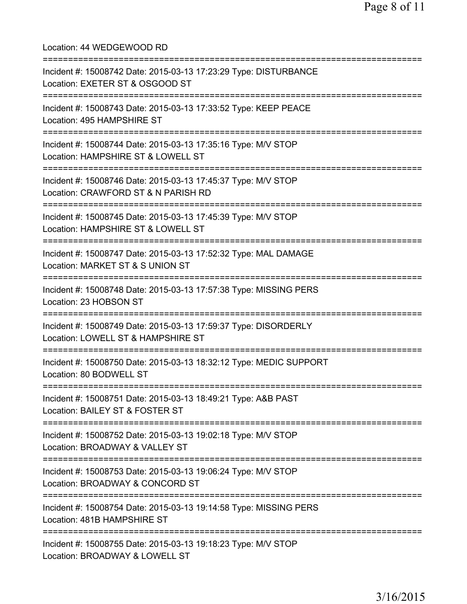Location: 44 WEDGEWOOD RD =========================================================================== Incident #: 15008742 Date: 2015-03-13 17:23:29 Type: DISTURBANCE Location: EXETER ST & OSGOOD ST =========================================================================== Incident #: 15008743 Date: 2015-03-13 17:33:52 Type: KEEP PEACE Location: 495 HAMPSHIRE ST =========================================================================== Incident #: 15008744 Date: 2015-03-13 17:35:16 Type: M/V STOP Location: HAMPSHIRE ST & LOWELL ST =========================================================================== Incident #: 15008746 Date: 2015-03-13 17:45:37 Type: M/V STOP Location: CRAWFORD ST & N PARISH RD =========================================================================== Incident #: 15008745 Date: 2015-03-13 17:45:39 Type: M/V STOP Location: HAMPSHIRE ST & LOWELL ST =========================================================================== Incident #: 15008747 Date: 2015-03-13 17:52:32 Type: MAL DAMAGE Location: MARKET ST & S UNION ST =========================================================================== Incident #: 15008748 Date: 2015-03-13 17:57:38 Type: MISSING PERS Location: 23 HOBSON ST =========================================================================== Incident #: 15008749 Date: 2015-03-13 17:59:37 Type: DISORDERLY Location: LOWELL ST & HAMPSHIRE ST =========================================================================== Incident #: 15008750 Date: 2015-03-13 18:32:12 Type: MEDIC SUPPORT Location: 80 BODWELL ST =========================================================================== Incident #: 15008751 Date: 2015-03-13 18:49:21 Type: A&B PAST Location: BAILEY ST & FOSTER ST =========================================================================== Incident #: 15008752 Date: 2015-03-13 19:02:18 Type: M/V STOP Location: BROADWAY & VALLEY ST =========================================================================== Incident #: 15008753 Date: 2015-03-13 19:06:24 Type: M/V STOP Location: BROADWAY & CONCORD ST =========================================================================== Incident #: 15008754 Date: 2015-03-13 19:14:58 Type: MISSING PERS Location: 481B HAMPSHIRE ST =========================================================================== Incident #: 15008755 Date: 2015-03-13 19:18:23 Type: M/V STOP Location: BROADWAY & LOWELL ST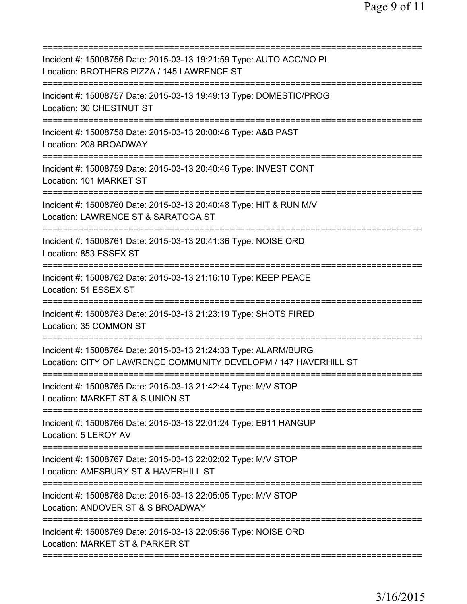| Incident #: 15008756 Date: 2015-03-13 19:21:59 Type: AUTO ACC/NO PI<br>Location: BROTHERS PIZZA / 145 LAWRENCE ST                      |
|----------------------------------------------------------------------------------------------------------------------------------------|
| Incident #: 15008757 Date: 2015-03-13 19:49:13 Type: DOMESTIC/PROG<br>Location: 30 CHESTNUT ST                                         |
| Incident #: 15008758 Date: 2015-03-13 20:00:46 Type: A&B PAST<br>Location: 208 BROADWAY                                                |
| Incident #: 15008759 Date: 2015-03-13 20:40:46 Type: INVEST CONT<br>Location: 101 MARKET ST<br>=================                       |
| Incident #: 15008760 Date: 2015-03-13 20:40:48 Type: HIT & RUN M/V<br>Location: LAWRENCE ST & SARATOGA ST                              |
| Incident #: 15008761 Date: 2015-03-13 20:41:36 Type: NOISE ORD<br>Location: 853 ESSEX ST                                               |
| Incident #: 15008762 Date: 2015-03-13 21:16:10 Type: KEEP PEACE<br>Location: 51 ESSEX ST                                               |
| Incident #: 15008763 Date: 2015-03-13 21:23:19 Type: SHOTS FIRED<br>Location: 35 COMMON ST<br>------------                             |
| Incident #: 15008764 Date: 2015-03-13 21:24:33 Type: ALARM/BURG<br>Location: CITY OF LAWRENCE COMMUNITY DEVELOPM / 147 HAVERHILL ST    |
| Incident #: 15008765 Date: 2015-03-13 21:42:44 Type: M/V STOP<br>Location: MARKET ST & S UNION ST                                      |
| Incident #: 15008766 Date: 2015-03-13 22:01:24 Type: E911 HANGUP<br>Location: 5 LEROY AV                                               |
| Incident #: 15008767 Date: 2015-03-13 22:02:02 Type: M/V STOP<br>Location: AMESBURY ST & HAVERHILL ST                                  |
| Incident #: 15008768 Date: 2015-03-13 22:05:05 Type: M/V STOP<br>Location: ANDOVER ST & S BROADWAY<br>================================ |
| Incident #: 15008769 Date: 2015-03-13 22:05:56 Type: NOISE ORD<br>Location: MARKET ST & PARKER ST                                      |
|                                                                                                                                        |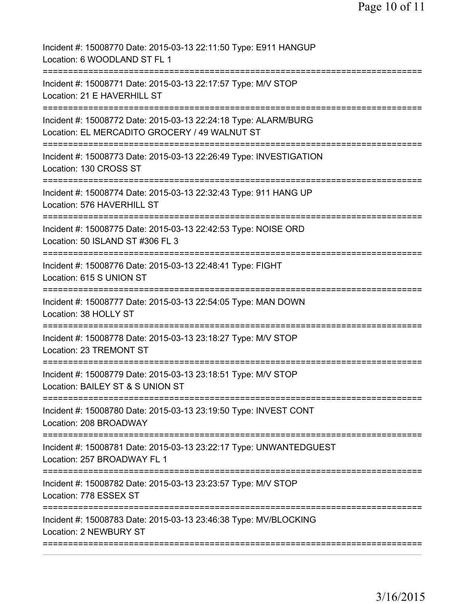| ============<br>:=========================<br>-----------------------<br>======================<br>:====================== | Incident #: 15008770 Date: 2015-03-13 22:11:50 Type: E911 HANGUP<br>Location: 6 WOODLAND ST FL 1                 |
|----------------------------------------------------------------------------------------------------------------------------|------------------------------------------------------------------------------------------------------------------|
|                                                                                                                            | Incident #: 15008771 Date: 2015-03-13 22:17:57 Type: M/V STOP<br>Location: 21 E HAVERHILL ST                     |
|                                                                                                                            | Incident #: 15008772 Date: 2015-03-13 22:24:18 Type: ALARM/BURG<br>Location: EL MERCADITO GROCERY / 49 WALNUT ST |
|                                                                                                                            | Incident #: 15008773 Date: 2015-03-13 22:26:49 Type: INVESTIGATION<br>Location: 130 CROSS ST                     |
|                                                                                                                            | Incident #: 15008774 Date: 2015-03-13 22:32:43 Type: 911 HANG UP<br>Location: 576 HAVERHILL ST                   |
|                                                                                                                            | Incident #: 15008775 Date: 2015-03-13 22:42:53 Type: NOISE ORD<br>Location: 50 ISLAND ST #306 FL 3               |
|                                                                                                                            | Incident #: 15008776 Date: 2015-03-13 22:48:41 Type: FIGHT<br>Location: 615 S UNION ST                           |
|                                                                                                                            | Incident #: 15008777 Date: 2015-03-13 22:54:05 Type: MAN DOWN<br>Location: 38 HOLLY ST                           |
|                                                                                                                            | Incident #: 15008778 Date: 2015-03-13 23:18:27 Type: M/V STOP<br>Location: 23 TREMONT ST                         |
|                                                                                                                            | Incident #: 15008779 Date: 2015-03-13 23:18:51 Type: M/V STOP<br>Location: BAILEY ST & S UNION ST                |
|                                                                                                                            | Incident #: 15008780 Date: 2015-03-13 23:19:50 Type: INVEST CONT<br>Location: 208 BROADWAY                       |
|                                                                                                                            | Incident #: 15008781 Date: 2015-03-13 23:22:17 Type: UNWANTEDGUEST<br>Location: 257 BROADWAY FL 1                |
|                                                                                                                            | Incident #: 15008782 Date: 2015-03-13 23:23:57 Type: M/V STOP<br>Location: 778 ESSEX ST                          |
|                                                                                                                            | Incident #: 15008783 Date: 2015-03-13 23:46:38 Type: MV/BLOCKING<br><b>Location: 2 NEWBURY ST</b>                |